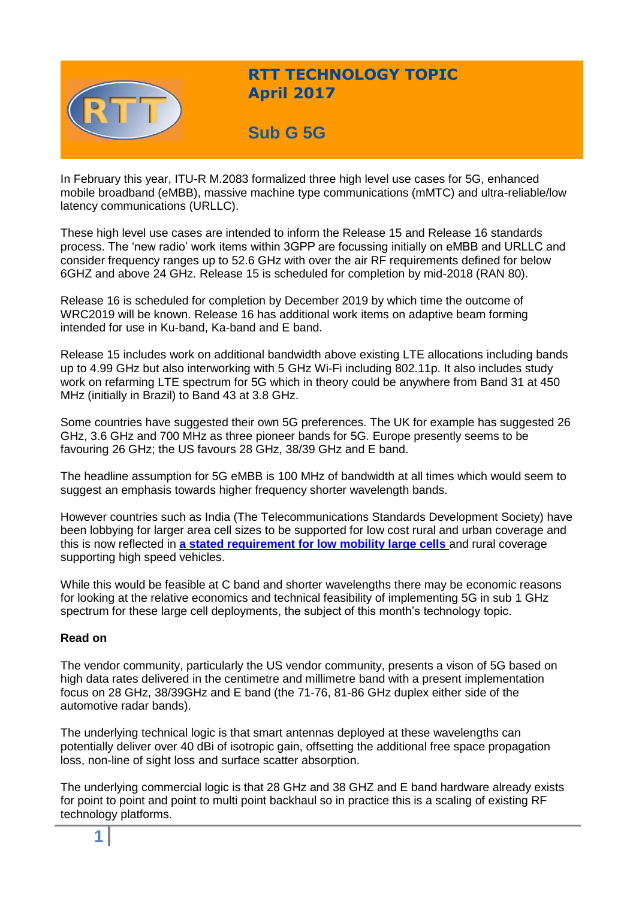

# **RTT TECHNOLOGY TOPIC April 2017**

# **Sub G 5G**

In February this year, ITU-R M.2083 formalized three high level use cases for 5G, enhanced mobile broadband (eMBB), massive machine type communications (mMTC) and ultra-reliable/low latency communications (URLLC).

These high level use cases are intended to inform the Release 15 and Release 16 standards process. The 'new radio' work items within 3GPP are focussing initially on eMBB and URLLC and consider frequency ranges up to 52.6 GHz with over the air RF requirements defined for below 6GHZ and above 24 GHz. Release 15 is scheduled for completion by mid-2018 (RAN 80).

Release 16 is scheduled for completion by December 2019 by which time the outcome of WRC2019 will be known. Release 16 has additional work items on adaptive beam forming intended for use in Ku-band, Ka-band and E band.

Release 15 includes work on additional bandwidth above existing LTE allocations including bands up to 4.99 GHz but also interworking with 5 GHz Wi-Fi including 802.11p. It also includes study work on refarming LTE spectrum for 5G which in theory could be anywhere from Band 31 at 450 MHz (initially in Brazil) to Band 43 at 3.8 GHz.

Some countries have suggested their own 5G preferences. The UK for example has suggested 26 GHz, 3.6 GHz and 700 MHz as three pioneer bands for 5G. Europe presently seems to be favouring 26 GHz; the US favours 28 GHz, 38/39 GHz and E band.

The headline assumption for 5G eMBB is 100 MHz of bandwidth at all times which would seem to suggest an emphasis towards higher frequency shorter wavelength bands.

However countries such as India (The Telecommunications Standards Development Society) have been lobbying for larger area cell sizes to be supported for low cost rural and urban coverage and this is now reflected in **[a stated requirement for low mobility large cells](http://www.tsdsi.org/media/attachment/TSDSI_Brochure_20161109.pdf)** and rural coverage supporting high speed vehicles.

While this would be feasible at C band and shorter wavelengths there may be economic reasons for looking at the relative economics and technical feasibility of implementing 5G in sub 1 GHz spectrum for these large cell deployments, the subject of this month's technology topic.

## **Read on**

The vendor community, particularly the US vendor community, presents a vison of 5G based on high data rates delivered in the centimetre and millimetre band with a present implementation focus on 28 GHz, 38/39GHz and E band (the 71-76, 81-86 GHz duplex either side of the automotive radar bands).

The underlying technical logic is that smart antennas deployed at these wavelengths can potentially deliver over 40 dBi of isotropic gain, offsetting the additional free space propagation loss, non-line of sight loss and surface scatter absorption.

The underlying commercial logic is that 28 GHz and 38 GHZ and E band hardware already exists for point to point and point to multi point backhaul so in practice this is a scaling of existing RF technology platforms.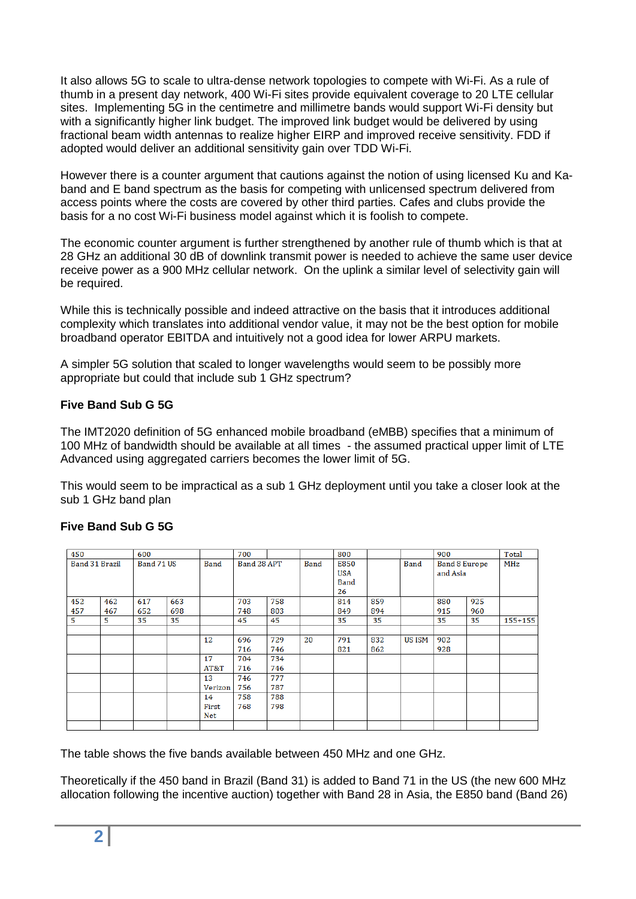It also allows 5G to scale to ultra-dense network topologies to compete with Wi-Fi. As a rule of thumb in a present day network, 400 Wi-Fi sites provide equivalent coverage to 20 LTE cellular sites. Implementing 5G in the centimetre and millimetre bands would support Wi-Fi density but with a significantly higher link budget. The improved link budget would be delivered by using fractional beam width antennas to realize higher EIRP and improved receive sensitivity. FDD if adopted would deliver an additional sensitivity gain over TDD Wi-Fi.

However there is a counter argument that cautions against the notion of using licensed Ku and Kaband and E band spectrum as the basis for competing with unlicensed spectrum delivered from access points where the costs are covered by other third parties. Cafes and clubs provide the basis for a no cost Wi-Fi business model against which it is foolish to compete.

The economic counter argument is further strengthened by another rule of thumb which is that at 28 GHz an additional 30 dB of downlink transmit power is needed to achieve the same user device receive power as a 900 MHz cellular network. On the uplink a similar level of selectivity gain will be required.

While this is technically possible and indeed attractive on the basis that it introduces additional complexity which translates into additional vendor value, it may not be the best option for mobile broadband operator EBITDA and intuitively not a good idea for lower ARPU markets.

A simpler 5G solution that scaled to longer wavelengths would seem to be possibly more appropriate but could that include sub 1 GHz spectrum?

# **Five Band Sub G 5G**

The IMT2020 definition of 5G enhanced mobile broadband (eMBB) specifies that a minimum of 100 MHz of bandwidth should be available at all times - the assumed practical upper limit of LTE Advanced using aggregated carriers becomes the lower limit of 5G.

This would seem to be impractical as a sub 1 GHz deployment until you take a closer look at the sub 1 GHz band plan

## **Five Band Sub G 5G**

| 450                   |     | 600        |     |             | 700         |     |             | 800         |     | 900           |                      |     | Total       |
|-----------------------|-----|------------|-----|-------------|-------------|-----|-------------|-------------|-----|---------------|----------------------|-----|-------------|
| <b>Band 31 Brazil</b> |     | Band 71 US |     | <b>Band</b> | Band 28 APT |     | <b>Band</b> | E850        |     | <b>Band</b>   | <b>Band 8 Europe</b> |     | MHz         |
|                       |     |            |     |             |             |     |             | <b>USA</b>  |     |               | and Asia             |     |             |
|                       |     |            |     |             |             |     |             | <b>Band</b> |     |               |                      |     |             |
|                       |     |            |     |             |             |     |             | 26          |     |               |                      |     |             |
| 452                   | 462 | 617        | 663 |             | 703         | 758 |             | 814         | 859 |               | 880                  | 925 |             |
| 457                   | 467 | 652        | 698 |             | 748         | 803 |             | 849         | 894 |               | 915                  | 960 |             |
| 5                     | 5   | 35         | 35  |             | 45          | 45  |             | 35          | 35  |               | 35                   | 35  | $155 + 155$ |
|                       |     |            |     |             |             |     |             |             |     |               |                      |     |             |
|                       |     |            |     | 12          | 696         | 729 | 20          | 791         | 832 | <b>US ISM</b> | 902                  |     |             |
|                       |     |            |     |             | 716         | 746 |             | 821         | 862 |               | 928                  |     |             |
|                       |     |            |     | 17          | 704         | 734 |             |             |     |               |                      |     |             |
|                       |     |            |     | AT&T        | 716         | 746 |             |             |     |               |                      |     |             |
|                       |     |            |     | 13          | 746         | 777 |             |             |     |               |                      |     |             |
|                       |     |            |     | Verizon     | 756         | 787 |             |             |     |               |                      |     |             |
|                       |     |            |     | 14          | 758         | 788 |             |             |     |               |                      |     |             |
|                       |     |            |     | First       | 768         | 798 |             |             |     |               |                      |     |             |
|                       |     |            |     | Net         |             |     |             |             |     |               |                      |     |             |
|                       |     |            |     |             |             |     |             |             |     |               |                      |     |             |

The table shows the five bands available between 450 MHz and one GHz.

Theoretically if the 450 band in Brazil (Band 31) is added to Band 71 in the US (the new 600 MHz allocation following the incentive auction) together with Band 28 in Asia, the E850 band (Band 26)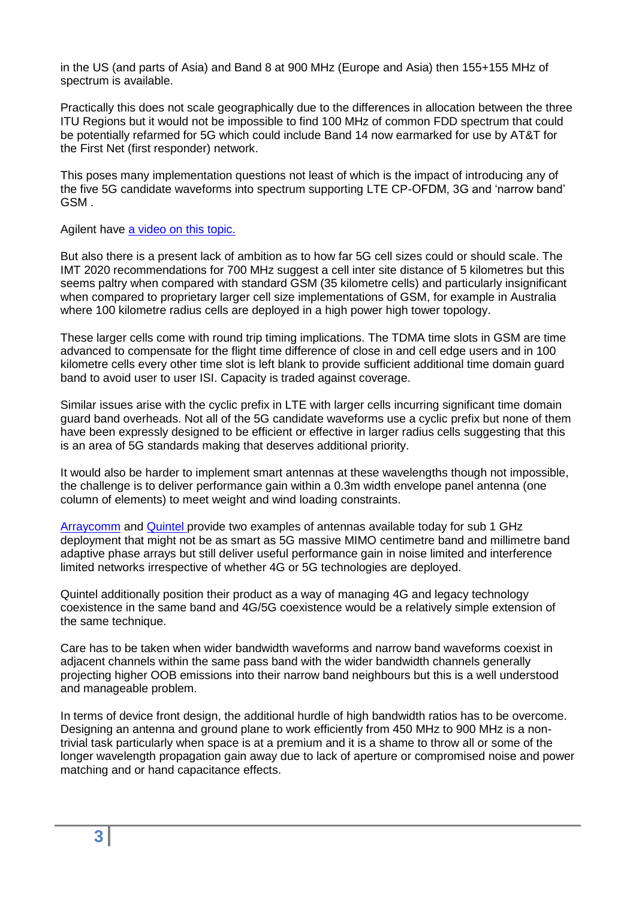in the US (and parts of Asia) and Band 8 at 900 MHz (Europe and Asia) then 155+155 MHz of spectrum is available.

Practically this does not scale geographically due to the differences in allocation between the three ITU Regions but it would not be impossible to find 100 MHz of common FDD spectrum that could be potentially refarmed for 5G which could include Band 14 now earmarked for use by AT&T for the First Net (first responder) network.

This poses many implementation questions not least of which is the impact of introducing any of the five 5G candidate waveforms into spectrum supporting LTE CP-OFDM, 3G and 'narrow band' GSM .

Agilent have [a video on this topic.](https://www.youtube.com/playlist?list=PLmqzNmmPZGY-0LyskJ0MR-EMGA3rl-ftD)

But also there is a present lack of ambition as to how far 5G cell sizes could or should scale. The IMT 2020 recommendations for 700 MHz suggest a cell inter site distance of 5 kilometres but this seems paltry when compared with standard GSM (35 kilometre cells) and particularly insignificant when compared to proprietary larger cell size implementations of GSM, for example in Australia where 100 kilometre radius cells are deployed in a high power high tower topology.

These larger cells come with round trip timing implications. The TDMA time slots in GSM are time advanced to compensate for the flight time difference of close in and cell edge users and in 100 kilometre cells every other time slot is left blank to provide sufficient additional time domain guard band to avoid user to user ISI. Capacity is traded against coverage.

Similar issues arise with the cyclic prefix in LTE with larger cells incurring significant time domain guard band overheads. Not all of the 5G candidate waveforms use a cyclic prefix but none of them have been expressly designed to be efficient or effective in larger radius cells suggesting that this is an area of 5G standards making that deserves additional priority.

It would also be harder to implement smart antennas at these wavelengths though not impossible, the challenge is to deliver performance gain within a 0.3m width envelope panel antenna (one column of elements) to meet weight and wind loading constraints.

[Arraycomm](http://www.arraycomm.com/products/a-mas-software/) and [Quintel p](http://www.quintelsolutions.com/)rovide two examples of antennas available today for sub 1 GHz deployment that might not be as smart as 5G massive MIMO centimetre band and millimetre band adaptive phase arrays but still deliver useful performance gain in noise limited and interference limited networks irrespective of whether 4G or 5G technologies are deployed.

Quintel additionally position their product as a way of managing 4G and legacy technology coexistence in the same band and 4G/5G coexistence would be a relatively simple extension of the same technique.

Care has to be taken when wider bandwidth waveforms and narrow band waveforms coexist in adjacent channels within the same pass band with the wider bandwidth channels generally projecting higher OOB emissions into their narrow band neighbours but this is a well understood and manageable problem.

In terms of device front design, the additional hurdle of high bandwidth ratios has to be overcome. Designing an antenna and ground plane to work efficiently from 450 MHz to 900 MHz is a nontrivial task particularly when space is at a premium and it is a shame to throw all or some of the longer wavelength propagation gain away due to lack of aperture or compromised noise and power matching and or hand capacitance effects.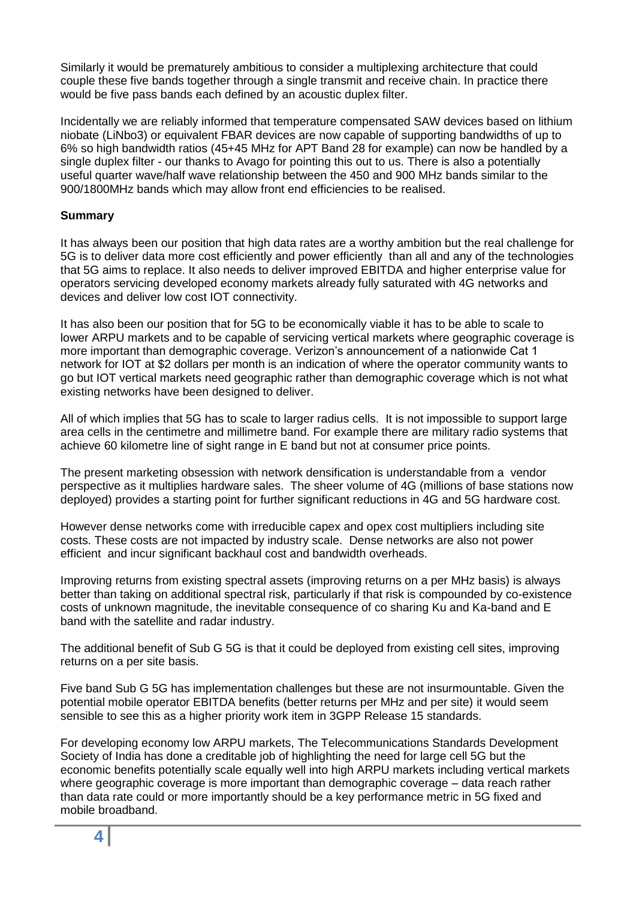Similarly it would be prematurely ambitious to consider a multiplexing architecture that could couple these five bands together through a single transmit and receive chain. In practice there would be five pass bands each defined by an acoustic duplex filter.

Incidentally we are reliably informed that temperature compensated SAW devices based on lithium niobate (LiNbo3) or equivalent FBAR devices are now capable of supporting bandwidths of up to 6% so high bandwidth ratios (45+45 MHz for APT Band 28 for example) can now be handled by a single duplex filter - our thanks to Avago for pointing this out to us. There is also a potentially useful quarter wave/half wave relationship between the 450 and 900 MHz bands similar to the 900/1800MHz bands which may allow front end efficiencies to be realised.

# **Summary**

It has always been our position that high data rates are a worthy ambition but the real challenge for 5G is to deliver data more cost efficiently and power efficiently than all and any of the technologies that 5G aims to replace. It also needs to deliver improved EBITDA and higher enterprise value for operators servicing developed economy markets already fully saturated with 4G networks and devices and deliver low cost IOT connectivity.

It has also been our position that for 5G to be economically viable it has to be able to scale to lower ARPU markets and to be capable of servicing vertical markets where geographic coverage is more important than demographic coverage. Verizon's announcement of a nationwide Cat 1 network for IOT at \$2 dollars per month is an indication of where the operator community wants to go but IOT vertical markets need geographic rather than demographic coverage which is not what existing networks have been designed to deliver.

All of which implies that 5G has to scale to larger radius cells. It is not impossible to support large area cells in the centimetre and millimetre band. For example there are military radio systems that achieve 60 kilometre line of sight range in E band but not at consumer price points.

The present marketing obsession with network densification is understandable from a vendor perspective as it multiplies hardware sales. The sheer volume of 4G (millions of base stations now deployed) provides a starting point for further significant reductions in 4G and 5G hardware cost.

However dense networks come with irreducible capex and opex cost multipliers including site costs. These costs are not impacted by industry scale. Dense networks are also not power efficient and incur significant backhaul cost and bandwidth overheads.

Improving returns from existing spectral assets (improving returns on a per MHz basis) is always better than taking on additional spectral risk, particularly if that risk is compounded by co-existence costs of unknown magnitude, the inevitable consequence of co sharing Ku and Ka-band and E band with the satellite and radar industry.

The additional benefit of Sub G 5G is that it could be deployed from existing cell sites, improving returns on a per site basis.

Five band Sub G 5G has implementation challenges but these are not insurmountable. Given the potential mobile operator EBITDA benefits (better returns per MHz and per site) it would seem sensible to see this as a higher priority work item in 3GPP Release 15 standards.

For developing economy low ARPU markets, The Telecommunications Standards Development Society of India has done a creditable job of highlighting the need for large cell 5G but the economic benefits potentially scale equally well into high ARPU markets including vertical markets where geographic coverage is more important than demographic coverage – data reach rather than data rate could or more importantly should be a key performance metric in 5G fixed and mobile broadband.